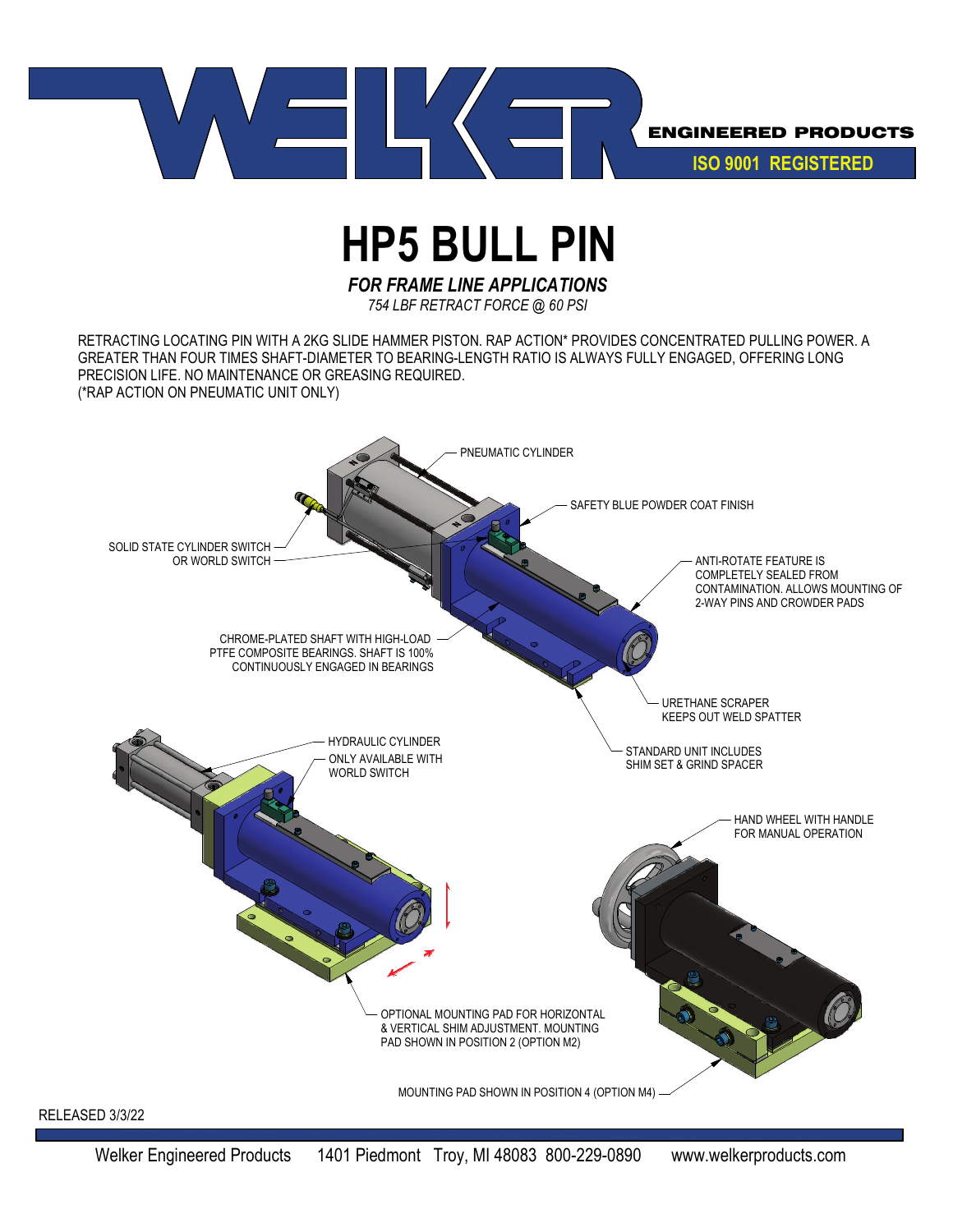

## **HP5 BULL PIN**

*FOR FRAME LINE APPLICATIONS*

*754 LBF RETRACT FORCE @ 60 PSI*

RETRACTING LOCATING PIN WITH A 2KG SLIDE HAMMER PISTON. RAP ACTION\* PROVIDES CONCENTRATED PULLING POWER. A GREATER THAN FOUR TIMES SHAFT-DIAMETER TO BEARING-LENGTH RATIO IS ALWAYS FULLY ENGAGED, OFFERING LONG PRECISION LIFE. NO MAINTENANCE OR GREASING REQUIRED. (\*RAP ACTION ON PNEUMATIC UNIT ONLY)

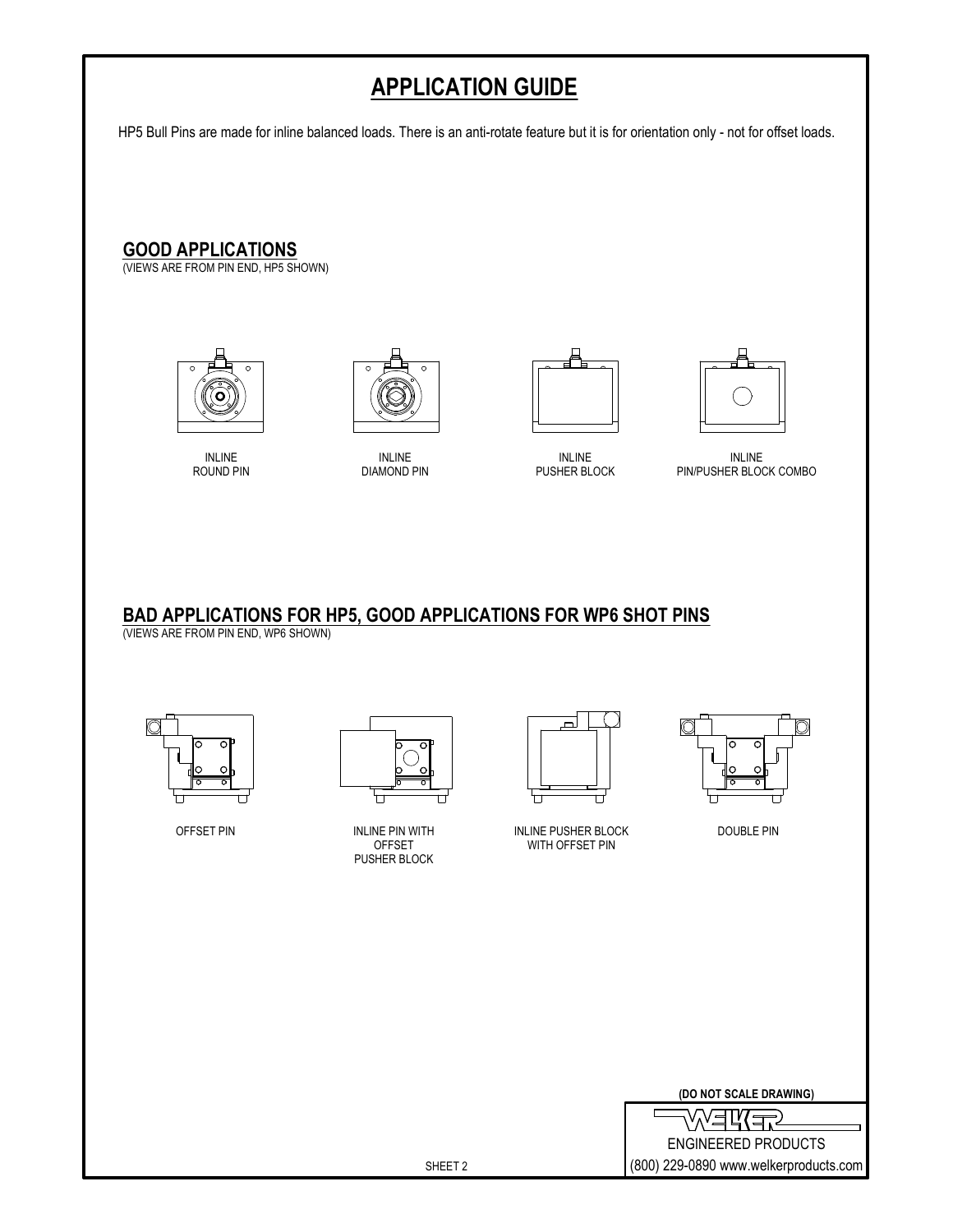## **APPLICATION GUIDE**

HP5 Bull Pins are made for inline balanced loads. There is an anti-rotate feature but it is for orientation only - not for offset loads.

**GOOD APPLICATIONS**

(VIEWS ARE FROM PIN END, HP5 SHOWN)



INLINE ROUND PIN



INLINE DIAMOND PIN





INLINE PUSHER BLOCK

INLINE PIN/PUSHER BLOCK COMBO

**BAD APPLICATIONS FOR HP5, GOOD APPLICATIONS FOR WP6 SHOT PINS**

(VIEWS ARE FROM PIN END, WP6 SHOWN)





INLINE PIN WITH OFFSET PUSHER BLOCK



OFFSET PIN NEWSLE PIN WITH THE RELATION OF THE RELATION OF THE RELATIONS OF THE RELATIONS OF THE RELATIONS OF T WITH OFFSET PIN



|  |  | (DO NOT SCALE DRAWING) |
|--|--|------------------------|
|  |  |                        |

くコパ ENGINEERED PRODUCTS (800) 229-0890 www.welkerproducts.com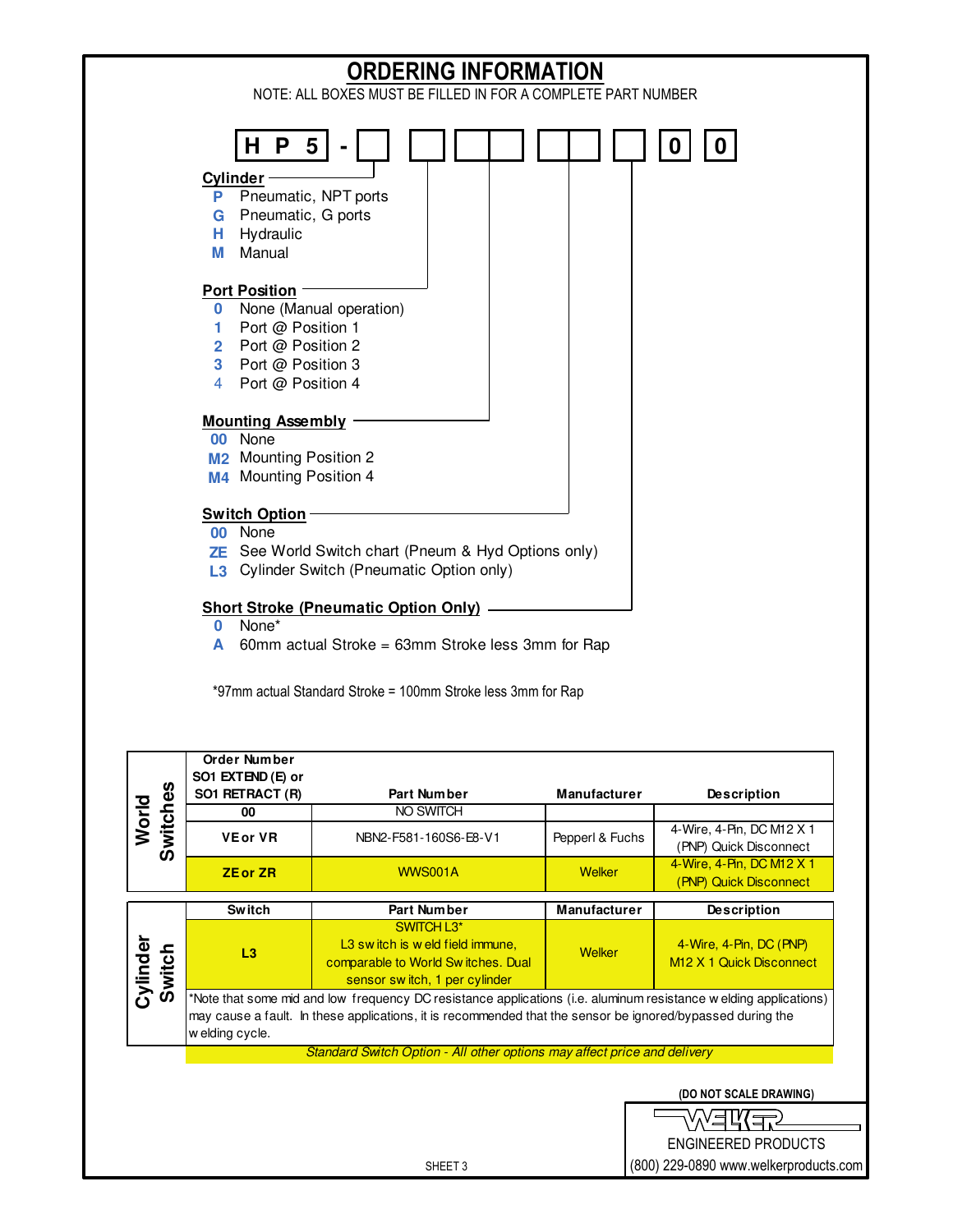

(800) 229-0890 www.welkerproducts.com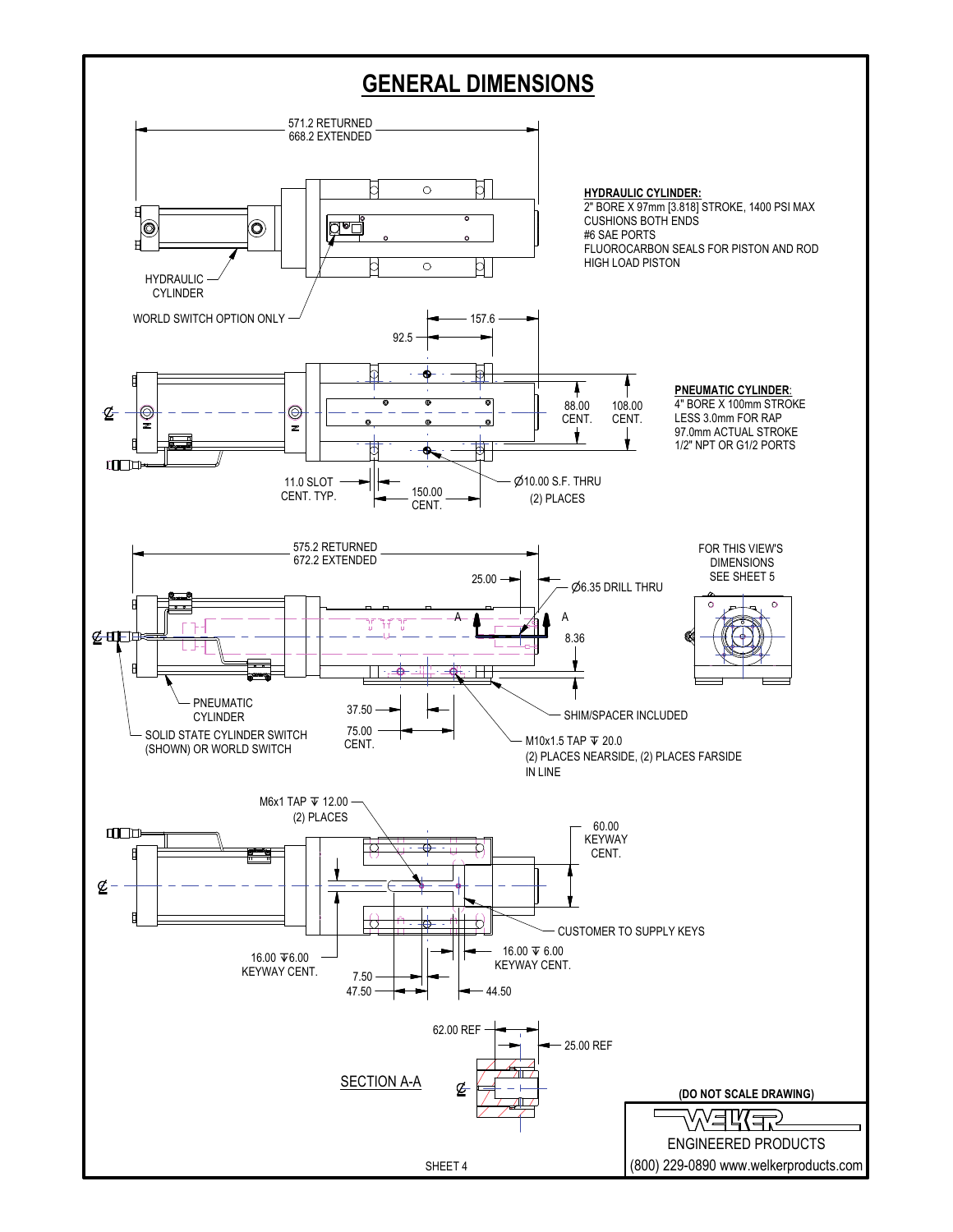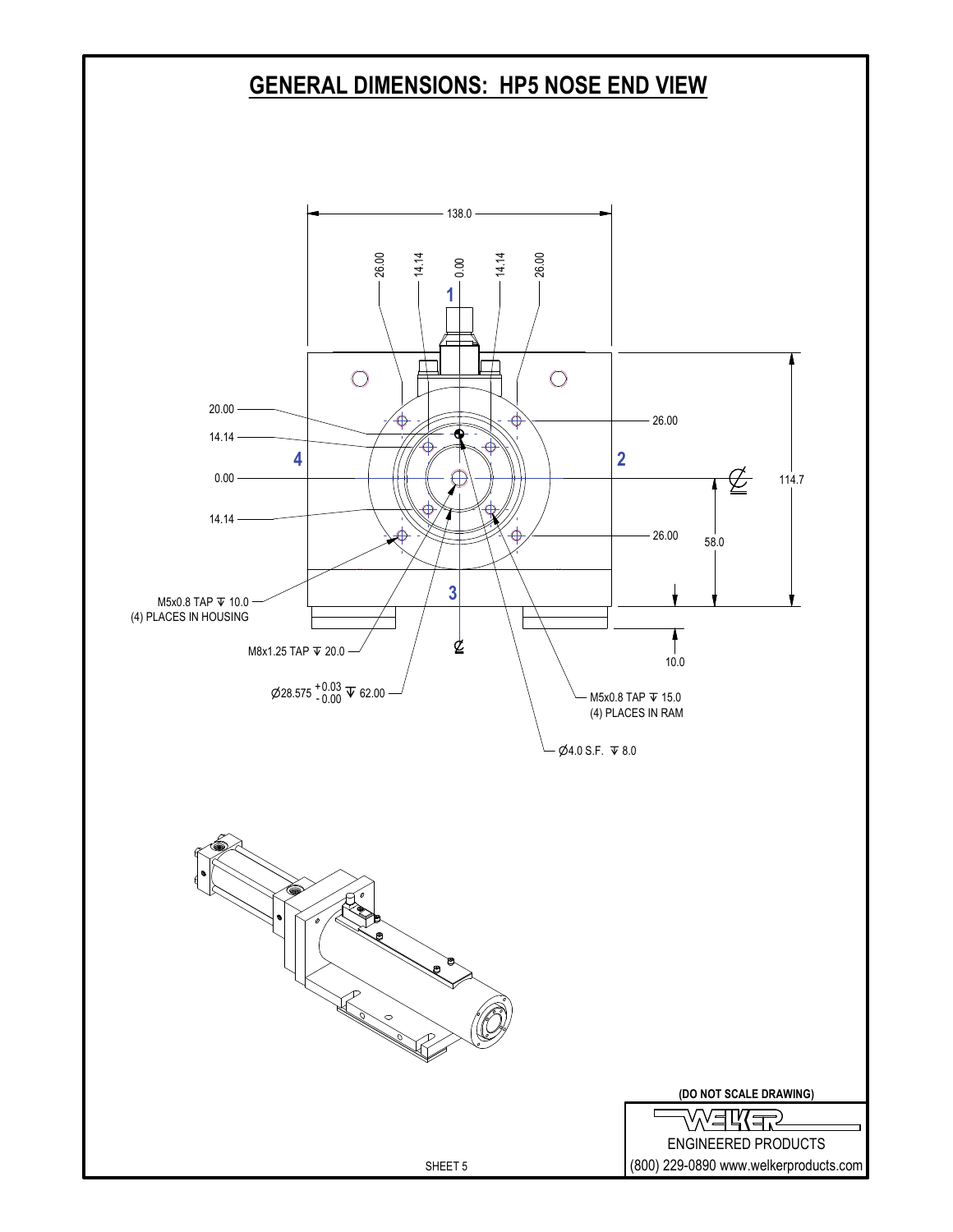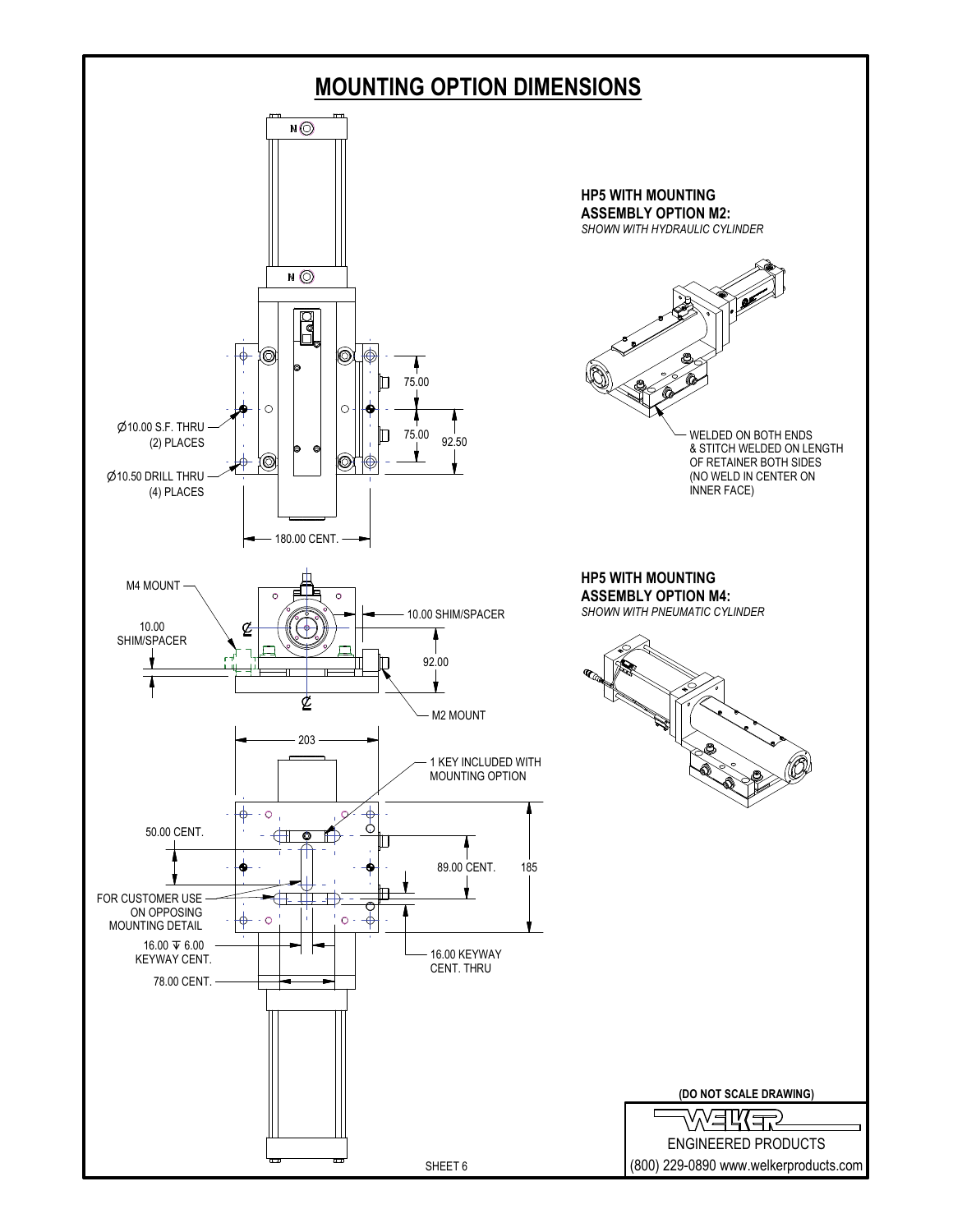